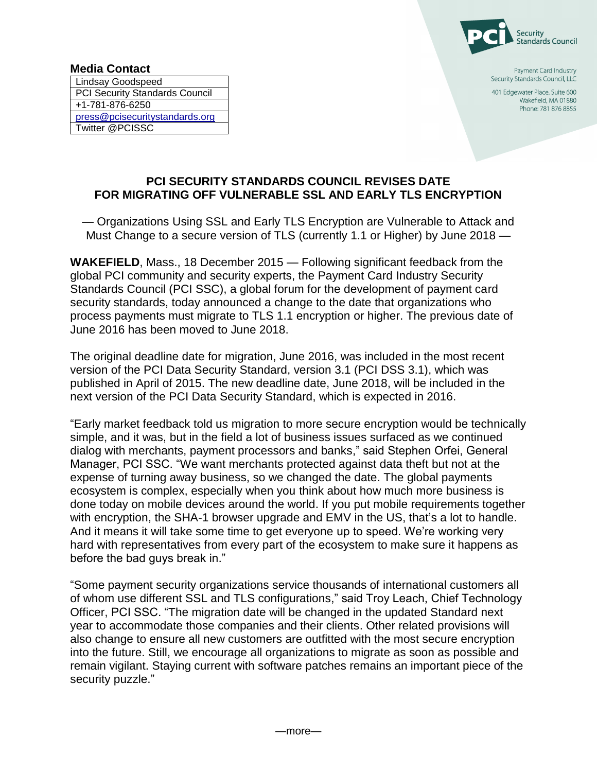

Payment Card Industry Security Standards Council, LLC

401 Edgewater Place, Suite 600 Wakefield, MA 01880 Phone: 781 876 8855

## **PCI SECURITY STANDARDS COUNCIL REVISES DATE FOR MIGRATING OFF VULNERABLE SSL AND EARLY TLS ENCRYPTION**

— Organizations Using SSL and Early TLS Encryption are Vulnerable to Attack and Must Change to a secure version of TLS (currently 1.1 or Higher) by June 2018 —

**WAKEFIELD**, Mass., 18 December 2015 — Following significant feedback from the global PCI community and security experts, the Payment Card Industry Security Standards Council (PCI SSC), a global forum for the development of payment card security standards, today announced a change to the date that organizations who process payments must migrate to TLS 1.1 encryption or higher. The previous date of June 2016 has been moved to June 2018.

The original deadline date for migration, June 2016, was included in the most recent version of the PCI Data Security Standard, version 3.1 (PCI DSS 3.1), which was published in April of 2015. The new deadline date, June 2018, will be included in the next version of the PCI Data Security Standard, which is expected in 2016.

"Early market feedback told us migration to more secure encryption would be technically simple, and it was, but in the field a lot of business issues surfaced as we continued dialog with merchants, payment processors and banks," said Stephen Orfei, General Manager, PCI SSC. "We want merchants protected against data theft but not at the expense of turning away business, so we changed the date. The global payments ecosystem is complex, especially when you think about how much more business is done today on mobile devices around the world. If you put mobile requirements together with encryption, the SHA-1 browser upgrade and EMV in the US, that's a lot to handle. And it means it will take some time to get everyone up to speed. We're working very hard with representatives from every part of the ecosystem to make sure it happens as before the bad guys break in."

"Some payment security organizations service thousands of international customers all of whom use different SSL and TLS configurations," said Troy Leach, Chief Technology Officer, PCI SSC. "The migration date will be changed in the updated Standard next year to accommodate those companies and their clients. Other related provisions will also change to ensure all new customers are outfitted with the most secure encryption into the future. Still, we encourage all organizations to migrate as soon as possible and remain vigilant. Staying current with software patches remains an important piece of the security puzzle."